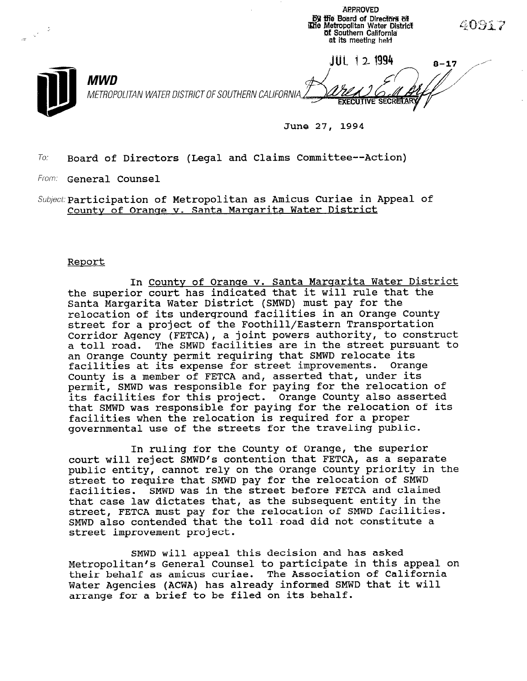| rzh |                                                                   | <b>By the Board of Directors of</b><br><b>Khe Metropolitan Water District</b><br>of Southern California<br>at its meeting held | 40917    |
|-----|-------------------------------------------------------------------|--------------------------------------------------------------------------------------------------------------------------------|----------|
|     | <b>MWD</b><br>METROPOLITAN WATER DISTRICT OF SOUTHERN CALIFORNIA. | 2 1994<br><b>EXECUTIVE SECRETARY</b><br>of the control of the control of                                                       | $8 - 17$ |

June 27, 1994

**APPROVED** 

 $To:$  Board of Directors (Legal and Claims Committee--Action)

From: General Counsel

 $Subject: Participation of Metropolitan as Amicus Curiae in Appendix of the work.$ County of Orange v. Santa Margarita Water District

## Report

In County of Orange v. Santa Margarita Water District the superior court has indicated that it will rule that the Santa Margarita Water District (SMWD) must pay for the relocation of its underground facilities in an Orange County street for a project of the Foothill/Eastern Transportation Corridor Agency (FETCA), a joint powers authority, to construct a toll road. The SMWD facilities are in the street pursuant to an Orange County permit requiring that SMWD relocate its facilities at its expense for street improvements. Orange County is a member of FETCA and, asserted that, under its permit, SMWD was responsible for paying for the relocation of its facilities for this project. Orange County also asserted that SMWD was responsible for paying for the relocation of its facilities when the relocation is required for a proper governmental use of the streets for the traveling public.

In ruling for the County of Orange, the superior court will reject SMWD's contention that FETCA, as a separate public entity, cannot rely on the Orange County priority in the street to require that SMWD pay for the relocation of SMWD facilities. SMND was in the street before FETCA and claimed that case law dictates that, as the subsequent entity in the street, FETCA must pay for the relocation of SMWD facilities. SMWD also contended that the toll road did not constitute a street improvement project.

SMWD will appeal this decision and has asked onnu witt appear chis decision dha has asked<br>Metropolitan's General Counsel to participate in this appeal on metropolitan's General Counsel to participate in this appe Water Agencies (ACWA) has already informed SMWD that it will water agencies (ACWA) has alleauy informed b